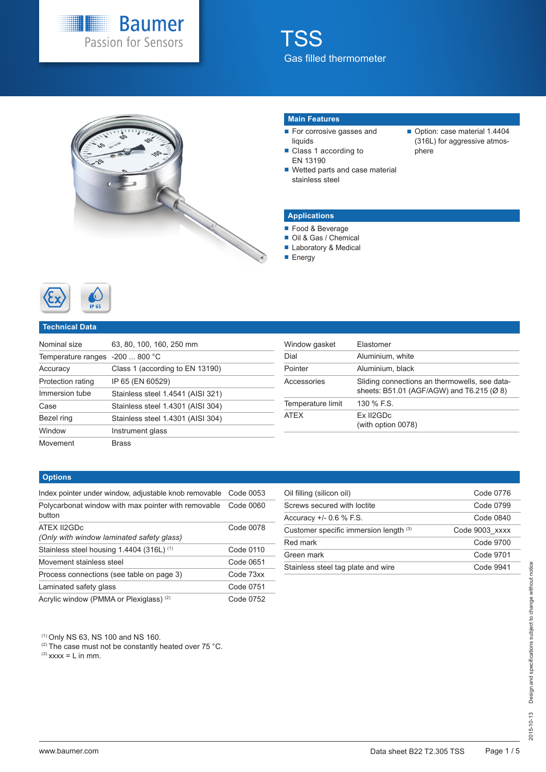



#### **Main Features**

- For corrosive gasses and liquids
- Class 1 according to EN 13190
- Wetted parts and case material stainless steel
- Option: case material 1.4404 (316L) for aggressive atmosphere

#### **Applications**

- Food & Beverage
- Oil & Gas / Chemical
- Laboratory & Medical
- **Energy**



#### **Technical Data**

| Nominal size                    | 63, 80, 100, 160, 250 mm          |
|---------------------------------|-----------------------------------|
| Temperature ranges -200  800 °C |                                   |
| Accuracy                        | Class 1 (according to EN 13190)   |
| Protection rating               | IP 65 (EN 60529)                  |
| Immersion tube                  | Stainless steel 1.4541 (AISI 321) |
| Case                            | Stainless steel 1.4301 (AISI 304) |
| Bezel ring                      | Stainless steel 1.4301 (AISI 304) |
| Window                          | Instrument glass                  |
| Movement                        | <b>Brass</b>                      |

| Window gasket     | Flastomer                                                                                  |
|-------------------|--------------------------------------------------------------------------------------------|
| Dial              | Aluminium, white                                                                           |
| Pointer           | Aluminium, black                                                                           |
| Accessories       | Sliding connections an thermowells, see data-<br>sheets: B51.01 (AGF/AGW) and T6.215 (Ø 8) |
| Temperature limit | 130 % F.S.                                                                                 |
| <b>ATEX</b>       | Ex II2GDc<br>(with option 0078)                                                            |

#### **Options**

| Index pointer under window, adjustable knob removable         | Code 0053 |
|---------------------------------------------------------------|-----------|
| Polycarbonat window with max pointer with removable<br>button | Code 0060 |
| ATEX II2GDc<br>(Only with window laminated safety glass)      | Code 0078 |
| Stainless steel housing 1.4404 (316L) <sup>(1)</sup>          | Code 0110 |
| Movement stainless steel                                      | Code 0651 |
| Process connections (see table on page 3)                     | Code 73xx |
| Laminated safety glass                                        | Code 0751 |
| Acrylic window (PMMA or Plexiglass) <sup>(2)</sup>            | Code 0752 |

| Oil filling (silicon oil)              | Code 0776      |
|----------------------------------------|----------------|
| Screws secured with loctite            | Code 0799      |
| Accuracy $+/-$ 0.6 % F.S.              | Code 0840      |
| Customer specific immersion length (3) | Code 9003 xxxx |
| Red mark                               | Code 9700      |
| Green mark                             | Code 9701      |
| Stainless steel tag plate and wire     | Code 9941      |

(1) Only NS 63, NS 100 and NS 160.

<sup>(2)</sup> The case must not be constantly heated over 75 °C.

 $^{(3)}$  xxxx = L in mm.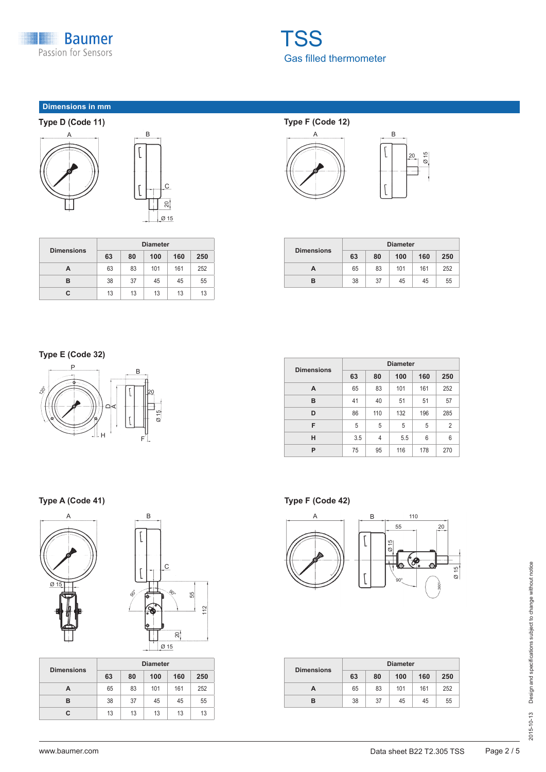

### **Dimensions in mm**





| <b>Dimensions</b> | <b>Diameter</b> |    |     |     |     |
|-------------------|-----------------|----|-----|-----|-----|
|                   | 63              | 80 | 100 | 160 | 250 |
| A                 | 63              | 83 | 101 | 161 | 252 |
| в                 | 38              | 37 | 45  | 45  | 55  |
| С                 | 13              | 13 | 13  | 13  | 13  |

## **Type F (Code 12)**





|                   | <b>Diameter</b> |    |     |     |     |
|-------------------|-----------------|----|-----|-----|-----|
| <b>Dimensions</b> | 63              | 80 | 100 | 160 | 250 |
| А                 | 65              | 83 | 101 | 161 | 252 |
| в                 | 38              | 37 | 45  | 45  | 55  |

### **Type E (Code 32)**



| <b>Dimensions</b> | <b>Diameter</b> |     |     |     |                |
|-------------------|-----------------|-----|-----|-----|----------------|
|                   | 63              | 80  | 100 | 160 | 250            |
| A                 | 65              | 83  | 101 | 161 | 252            |
| в                 | 41              | 40  | 51  | 51  | 57             |
| D                 | 86              | 110 | 132 | 196 | 285            |
| F                 | 5               | 5   | 5   | 5   | $\overline{2}$ |
| н                 | 3.5             | 4   | 5.5 | 6   | 6              |
| P                 | 75              | 95  | 116 | 178 | 270            |

### **Type A (Code 41)** Type F (Code 42)



| L      |        |                                    |    |     |
|--------|--------|------------------------------------|----|-----|
|        |        | $\overline{C}$                     |    |     |
| So<br> | 2<br>o | $\mathcal{S}_{\!\mathcal{O}\circ}$ | 55 | 112 |
|        | Ģ<br>T | 20 <sup>1</sup><br>Ø 15            |    |     |

| <b>Dimensions</b> | <b>Diameter</b> |    |     |     |     |
|-------------------|-----------------|----|-----|-----|-----|
|                   | 63              | 80 | 100 | 160 | 250 |
| А                 | 65              | 83 | 101 | 161 | 252 |
| в                 | 38              | 37 | 45  | 45  | 55  |
| С                 | 13              | 13 | 13  | 13  | 13  |



|                   | <b>Diameter</b> |    |     |     |     |
|-------------------|-----------------|----|-----|-----|-----|
| <b>Dimensions</b> | 63              | 80 | 100 | 160 | 250 |
| А                 | 65              | 83 | 101 | 161 | 252 |
| R                 | 38              | 37 | 45  | 45  | 55  |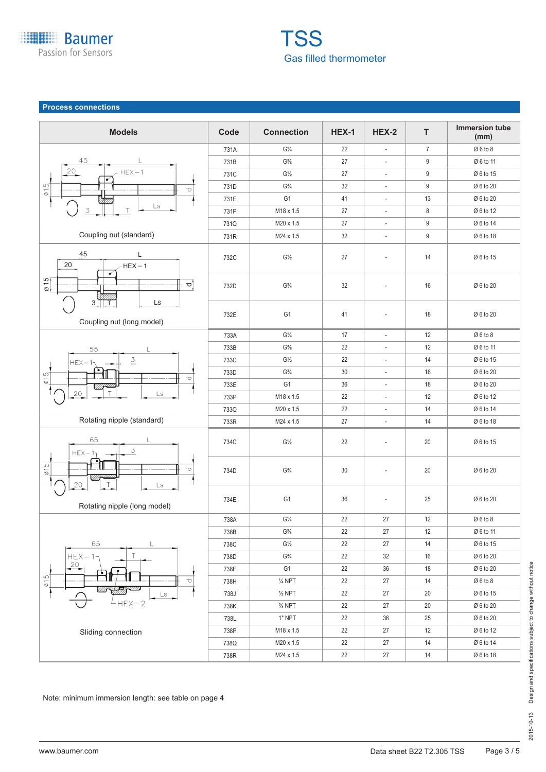

#### **Process connections**



Note: minimum immersion length: see table on page 4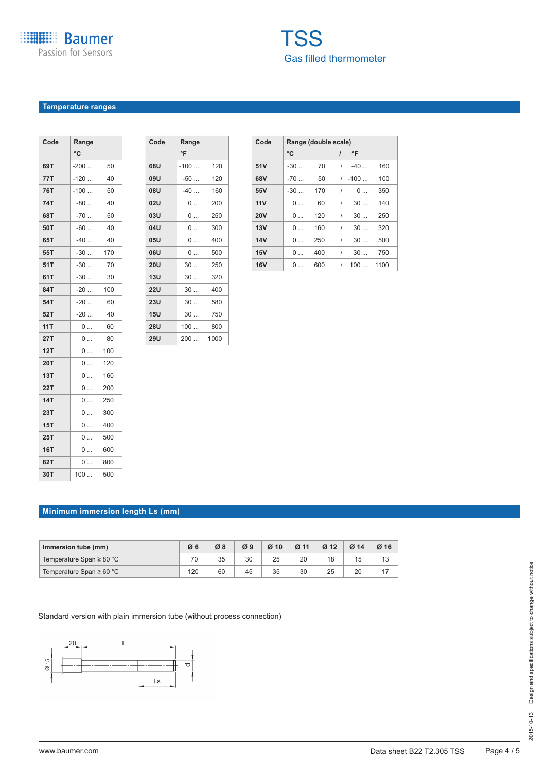### **Temperature ranges**

| °C<br>69T<br>$-200$<br>50<br>77T<br>-120<br>40<br>76T<br>$-100$<br>50<br>74T<br>$-80$<br>40<br>68T<br>-70<br>50<br><br>50T<br>$-60$<br>40<br>65T<br>$-40$<br>40<br>55T<br>$-30$<br>170<br>51T<br>$-30$<br>70<br>61T<br>-30<br>30<br><br>84T<br>$-20$<br>100<br>54T<br>$-20$<br>60<br>52T<br>40<br>$-20$<br>11T<br>60<br>0<br>27T<br>80<br>0<br>12T<br>100<br>0<br><b>20T</b><br>120<br>0<br>.<br>13T<br>160<br>0<br><b>22T</b><br>200<br>0<br>$\cdots$<br>14T<br>250<br>0<br>23T<br>300<br>0<br>15T<br>400<br>0<br>25T<br>500<br>0<br>16T<br>600<br>0<br><br>82T<br>800<br>0<br>30T<br>100<br>500 | Code | Range |  |
|---------------------------------------------------------------------------------------------------------------------------------------------------------------------------------------------------------------------------------------------------------------------------------------------------------------------------------------------------------------------------------------------------------------------------------------------------------------------------------------------------------------------------------------------------------------------------------------------------|------|-------|--|
|                                                                                                                                                                                                                                                                                                                                                                                                                                                                                                                                                                                                   |      |       |  |
|                                                                                                                                                                                                                                                                                                                                                                                                                                                                                                                                                                                                   |      |       |  |
|                                                                                                                                                                                                                                                                                                                                                                                                                                                                                                                                                                                                   |      |       |  |
|                                                                                                                                                                                                                                                                                                                                                                                                                                                                                                                                                                                                   |      |       |  |
|                                                                                                                                                                                                                                                                                                                                                                                                                                                                                                                                                                                                   |      |       |  |
|                                                                                                                                                                                                                                                                                                                                                                                                                                                                                                                                                                                                   |      |       |  |
|                                                                                                                                                                                                                                                                                                                                                                                                                                                                                                                                                                                                   |      |       |  |
|                                                                                                                                                                                                                                                                                                                                                                                                                                                                                                                                                                                                   |      |       |  |
|                                                                                                                                                                                                                                                                                                                                                                                                                                                                                                                                                                                                   |      |       |  |
|                                                                                                                                                                                                                                                                                                                                                                                                                                                                                                                                                                                                   |      |       |  |
|                                                                                                                                                                                                                                                                                                                                                                                                                                                                                                                                                                                                   |      |       |  |
|                                                                                                                                                                                                                                                                                                                                                                                                                                                                                                                                                                                                   |      |       |  |
|                                                                                                                                                                                                                                                                                                                                                                                                                                                                                                                                                                                                   |      |       |  |
|                                                                                                                                                                                                                                                                                                                                                                                                                                                                                                                                                                                                   |      |       |  |
|                                                                                                                                                                                                                                                                                                                                                                                                                                                                                                                                                                                                   |      |       |  |
|                                                                                                                                                                                                                                                                                                                                                                                                                                                                                                                                                                                                   |      |       |  |
|                                                                                                                                                                                                                                                                                                                                                                                                                                                                                                                                                                                                   |      |       |  |
|                                                                                                                                                                                                                                                                                                                                                                                                                                                                                                                                                                                                   |      |       |  |
|                                                                                                                                                                                                                                                                                                                                                                                                                                                                                                                                                                                                   |      |       |  |
|                                                                                                                                                                                                                                                                                                                                                                                                                                                                                                                                                                                                   |      |       |  |
|                                                                                                                                                                                                                                                                                                                                                                                                                                                                                                                                                                                                   |      |       |  |
|                                                                                                                                                                                                                                                                                                                                                                                                                                                                                                                                                                                                   |      |       |  |
|                                                                                                                                                                                                                                                                                                                                                                                                                                                                                                                                                                                                   |      |       |  |
|                                                                                                                                                                                                                                                                                                                                                                                                                                                                                                                                                                                                   |      |       |  |
|                                                                                                                                                                                                                                                                                                                                                                                                                                                                                                                                                                                                   |      |       |  |
|                                                                                                                                                                                                                                                                                                                                                                                                                                                                                                                                                                                                   |      |       |  |
|                                                                                                                                                                                                                                                                                                                                                                                                                                                                                                                                                                                                   |      |       |  |

| Code       | Range  |      |
|------------|--------|------|
|            | °F     |      |
| 68U        | $-100$ | 120  |
| <b>09U</b> | $-50$  | 120  |
| <b>08U</b> | $-40$  | 160  |
| <b>02U</b> | 0      | 200  |
| 03U        | 0      | 250  |
| 04U        | 0      | 300  |
| 05U        | 0      | 400  |
| 06U        | 0      | 500  |
| 20U        | 30     | 250  |
| 13U        | 30     | 320  |
| 22U        | 30     | 400  |
| 23U        | 30     | 580  |
| 15U        | 30     | 750  |
| <b>28U</b> | 100    | 800  |
| <b>29U</b> | 200    | 1000 |
|            |        |      |

| Code       | Range (double scale) |     |                |          |      |  |  |  |  |  |  |  |  |  |
|------------|----------------------|-----|----------------|----------|------|--|--|--|--|--|--|--|--|--|
|            | °C                   |     | $\overline{I}$ | °F       |      |  |  |  |  |  |  |  |  |  |
| 51V        | $-30$                | 70  | $\sqrt{2}$     | $-40$    | 160  |  |  |  |  |  |  |  |  |  |
| 68V        | $-70$                | 50  |                | $/ -100$ | 100  |  |  |  |  |  |  |  |  |  |
| 55V        | $-30$                | 170 | 1              | 0        | 350  |  |  |  |  |  |  |  |  |  |
| 11V        | 0                    | 60  | $\prime$       | 30       | 140  |  |  |  |  |  |  |  |  |  |
| <b>20V</b> | 0                    | 120 | I              | 30       | 250  |  |  |  |  |  |  |  |  |  |
| 13V        | 0                    | 160 | 1              | 30       | 320  |  |  |  |  |  |  |  |  |  |
| <b>14V</b> | 0                    | 250 | $\prime$       | 30       | 500  |  |  |  |  |  |  |  |  |  |
| 15V        | 0                    | 400 | 1              | 30       | 750  |  |  |  |  |  |  |  |  |  |
| <b>16V</b> | $\Omega$             | 600 | $\prime$       | 100      | 1100 |  |  |  |  |  |  |  |  |  |

#### **Minimum immersion length Ls (mm)**

| Immersion tube (mm)           | Ø6  | Ø8 | Ø9 | $Ø$ 10 | Ø <sub>11</sub> | Ø <sub>12</sub> | Ø <sub>14</sub> | Ø16 |  |
|-------------------------------|-----|----|----|--------|-----------------|-----------------|-----------------|-----|--|
| Temperature Span $\geq 80$ °C |     | 35 | 30 | 25     | 20              | 18              | 15              |     |  |
| Temperature Span $\geq 60$ °C | 120 | 60 | 45 | 35     | 30              | 25              | 20              |     |  |

Standard version with plain immersion tube (without process connection)